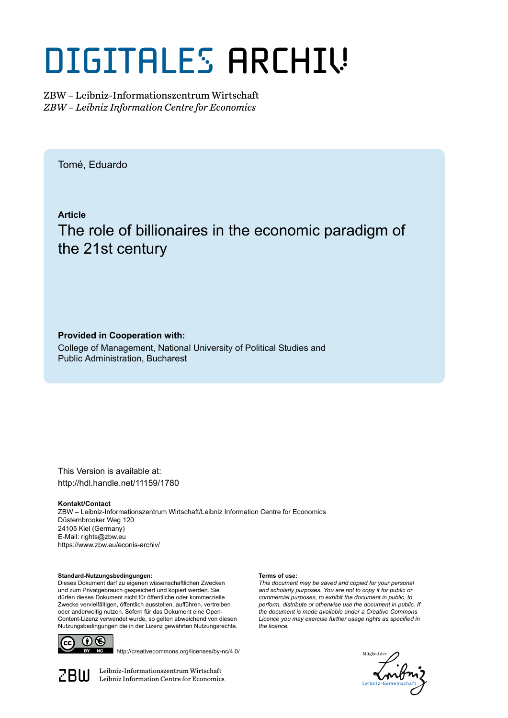# DIGITALES ARCHIV

ZBW – Leibniz-Informationszentrum Wirtschaft *ZBW – Leibniz Information Centre for Economics*

Tomé, Eduardo

**Article**

The role of billionaires in the economic paradigm of the 21st century

## **Provided in Cooperation with:**

College of Management, National University of Political Studies and Public Administration, Bucharest

This Version is available at: http://hdl.handle.net/11159/1780

### **Kontakt/Contact**

ZBW – Leibniz-Informationszentrum Wirtschaft/Leibniz Information Centre for Economics Düsternbrooker Weg 120 24105 Kiel (Germany) E-Mail: rights@zbw.eu https://www.zbw.eu/econis-archiv/

### **Standard-Nutzungsbedingungen:**

Dieses Dokument darf zu eigenen wissenschaftlichen Zwecken und zum Privatgebrauch gespeichert und kopiert werden. Sie dürfen dieses Dokument nicht für öffentliche oder kommerzielle Zwecke vervielfältigen, öffentlich ausstellen, aufführen, vertreiben oder anderweitig nutzen. Sofern für das Dokument eine Open-Content-Lizenz verwendet wurde, so gelten abweichend von diesen Nutzungsbedingungen die in der Lizenz gewährten Nutzungsrechte.



http://creativecommons.org/licenses/by-nc/4.0/

 $\mathbb{Z} \text{B} \text{U}$  Leibniz-Informationszentrum Wirtschaft

### **Terms of use:**

*This document may be saved and copied for your personal and scholarly purposes. You are not to copy it for public or commercial purposes, to exhibit the document in public, to perform, distribute or otherwise use the document in public. If the document is made available under a Creative Commons Licence you may exercise further usage rights as specified in the licence.*

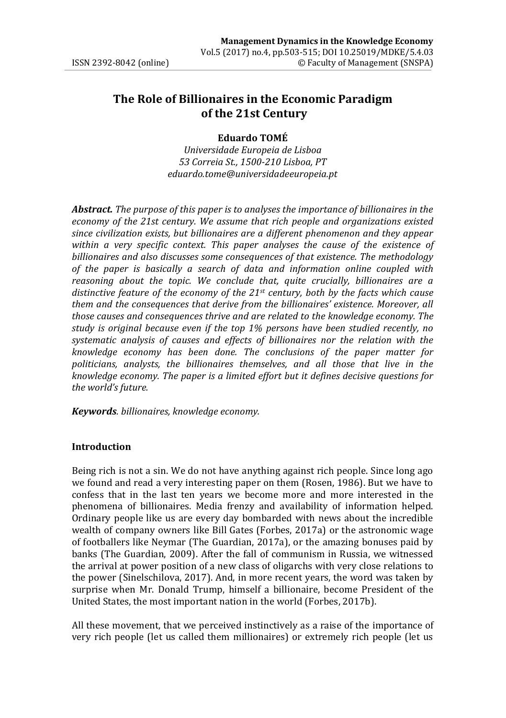# **The Role of Billionaires in the Economic Paradigm of the 21st Century**

### **Eduardo TOMÉ**

*Universidade Europeia de Lisboa 53 Correia St., 1500-210 Lisboa, PT eduardo.tome@universidadeeuropeia.pt*

*Abstract. The purpose of this paper is to analyses the importance of billionaires in the economy of the 21st century. We assume that rich people and organizations existed since civilization exists, but billionaires are a different phenomenon and they appear within a very specific context. This paper analyses the cause of the existence of billionaires and also discusses some consequences of that existence. The methodology of the paper is basically a search of data and information online coupled with reasoning about the topic. We conclude that, quite crucially, billionaires are a distinctive feature of the economy of the 21st century, both by the facts which cause them and the consequences that derive from the billionaires' existence. Moreover, all those causes and consequences thrive and are related to the knowledge economy. The study is original because even if the top 1% persons have been studied recently, no systematic analysis of causes and effects of billionaires nor the relation with the knowledge economy has been done. The conclusions of the paper matter for politicians, analysts, the billionaires themselves, and all those that live in the knowledge economy. The paper is a limited effort but it defines decisive questions for the world's future.* 

*Keywords. billionaires, knowledge economy.*

### **Introduction**

Being rich is not a sin. We do not have anything against rich people. Since long ago we found and read a very interesting paper on them (Rosen, 1986). But we have to confess that in the last ten years we become more and more interested in the phenomena of billionaires. Media frenzy and availability of information helped. Ordinary people like us are every day bombarded with news about the incredible wealth of company owners like Bill Gates (Forbes, 2017a) or the astronomic wage of footballers like Neymar (The Guardian, 2017a), or the amazing bonuses paid by banks (The Guardian, 2009). After the fall of communism in Russia, we witnessed the arrival at power position of a new class of oligarchs with very close relations to the power (Sinelschilova, 2017). And, in more recent years, the word was taken by surprise when Mr. Donald Trump, himself a billionaire, become President of the United States, the most important nation in the world (Forbes, 2017b).

All these movement, that we perceived instinctively as a raise of the importance of very rich people (let us called them millionaires) or extremely rich people (let us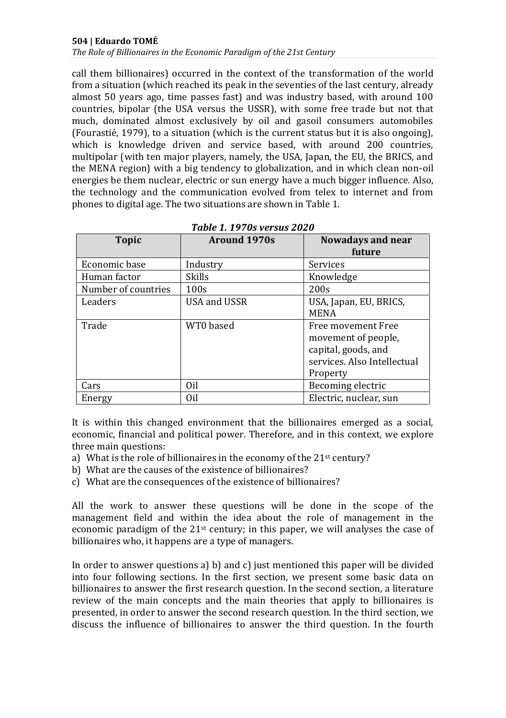call them billionaires) occurred in the context of the transformation of the world from a situation (which reached its peak in the seventies of the last century, already almost 50 years ago, time passes fast) and was industry based, with around 100 countries, bipolar (the USA versus the USSR), with some free trade but not that much, dominated almost exclusively by oil and gasoil consumers automobiles (Fourastié, 1979), to a situation (which is the current status but it is also ongoing), which is knowledge driven and service based, with around 200 countries, multipolar (with ten major players, namely, the USA, Japan, the EU, the BRICS, and the MENA region) with a big tendency to globalization, and in which clean non-oil energies be them nuclear, electric or sun energy have a much bigger influence. Also, the technology and the communication evolved from telex to internet and from phones to digital age. The two situations are shown in Table 1.

| <b>Topic</b>        | <b>Around 1970s</b> | <b>Nowadays and near</b><br>future |
|---------------------|---------------------|------------------------------------|
| Economic base       | Industry            | Services                           |
| Human factor        | <b>Skills</b>       | Knowledge                          |
| Number of countries | 100s                | 200s                               |
| Leaders             | USA and USSR        | USA, Japan, EU, BRICS,             |
|                     |                     | <b>MENA</b>                        |
| Trade               | WT0 based           | Free movement Free                 |
|                     |                     | movement of people,                |
|                     |                     | capital, goods, and                |
|                     |                     | services. Also Intellectual        |
|                     |                     | Property                           |
| Cars                | Oil                 | Becoming electric                  |
| Energy              | Oil                 | Electric, nuclear, sun             |

### *Table 1. 1970s versus 2020*

It is within this changed environment that the billionaires emerged as a social, economic, financial and political power. Therefore, and in this context, we explore three main questions:

- a) What is the role of billionaires in the economy of the  $21<sup>st</sup>$  century?
- b) What are the causes of the existence of billionaires?
- c) What are the consequences of the existence of billionaires?

All the work to answer these questions will be done in the scope of the management field and within the idea about the role of management in the economic paradigm of the  $21<sup>st</sup>$  century; in this paper, we will analyses the case of billionaires who, it happens are a type of managers.

In order to answer questions a) b) and c) just mentioned this paper will be divided into four following sections. In the first section, we present some basic data on billionaires to answer the first research question. In the second section, a literature review of the main concepts and the main theories that apply to billionaires is presented, in order to answer the second research question. In the third section, we discuss the influence of billionaires to answer the third question. In the fourth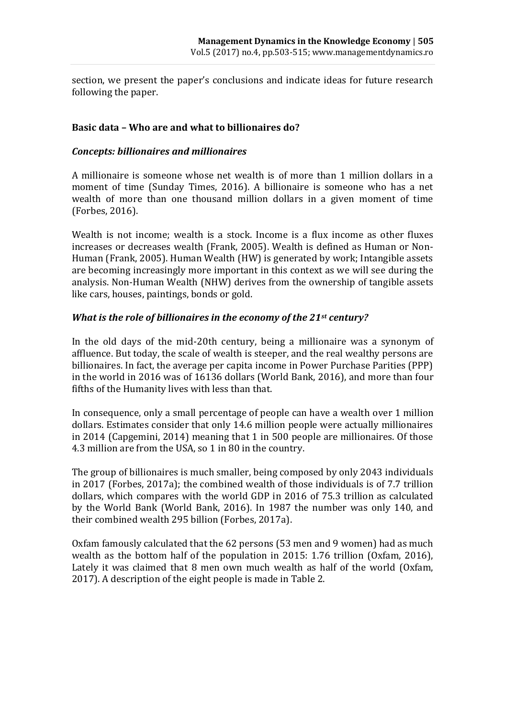section, we present the paper's conclusions and indicate ideas for future research following the paper.

### **Basic data – Who are and what to billionaires do?**

### *Concepts: billionaires and millionaires*

A millionaire is someone whose net wealth is of more than 1 million dollars in a moment of time (Sunday Times, 2016). A billionaire is someone who has a net wealth of more than one thousand million dollars in a given moment of time (Forbes, 2016).

Wealth is not income; wealth is a stock. Income is a flux income as other fluxes increases or decreases wealth (Frank, 2005). Wealth is defined as Human or Non-Human (Frank, 2005). Human Wealth (HW) is generated by work; Intangible assets are becoming increasingly more important in this context as we will see during the analysis. Non-Human Wealth (NHW) derives from the ownership of tangible assets like cars, houses, paintings, bonds or gold.

### *What is the role of billionaires in the economy of the 21st century?*

In the old days of the mid-20th century, being a millionaire was a synonym of affluence. But today, the scale of wealth is steeper, and the real wealthy persons are billionaires. In fact, the average per capita income in Power Purchase Parities (PPP) in the world in 2016 was of 16136 dollars (World Bank, 2016), and more than four fifths of the Humanity lives with less than that.

In consequence, only a small percentage of people can have a wealth over 1 million dollars. Estimates consider that only 14.6 million people were actually millionaires in 2014 (Capgemini, 2014) meaning that 1 in 500 people are millionaires. Of those 4.3 million are from the USA, so 1 in 80 in the country.

The group of billionaires is much smaller, being composed by only 2043 individuals in 2017 (Forbes, 2017a); the combined wealth of those individuals is of 7.7 trillion dollars, which compares with the world GDP in 2016 of 75.3 trillion as calculated by the World Bank (World Bank, 2016). In 1987 the number was only 140, and their combined wealth 295 billion (Forbes, 2017a).

Oxfam famously calculated that the 62 persons (53 men and 9 women) had as much wealth as the bottom half of the population in 2015: 1.76 trillion (Oxfam, 2016), Lately it was claimed that 8 men own much wealth as half of the world (Oxfam, 2017). A description of the eight people is made in Table 2.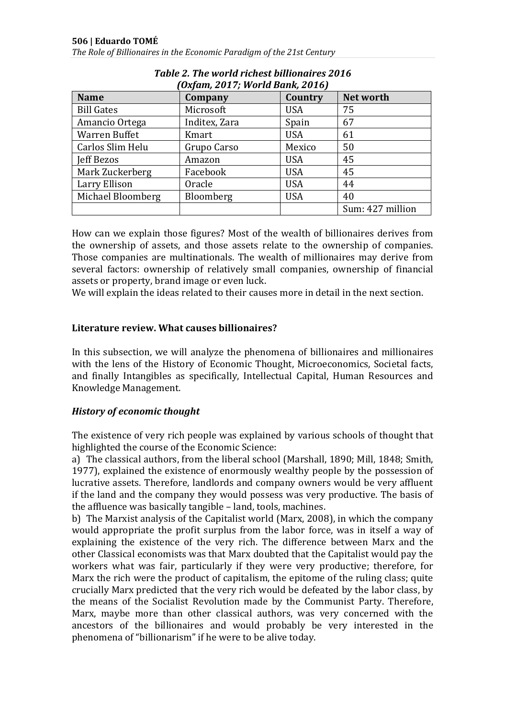| (Oxfam, 2017; World Bank, 2016) |               |                |                  |  |
|---------------------------------|---------------|----------------|------------------|--|
| <b>Name</b>                     | Company       | <b>Country</b> | Net worth        |  |
| <b>Bill Gates</b>               | Microsoft     | <b>USA</b>     | 75               |  |
| Amancio Ortega                  | Inditex, Zara | Spain          | 67               |  |
| Warren Buffet                   | Kmart         | <b>USA</b>     | 61               |  |
| Carlos Slim Helu                | Grupo Carso   | Mexico         | 50               |  |
| Jeff Bezos                      | Amazon        | <b>USA</b>     | 45               |  |
| Mark Zuckerberg                 | Facebook      | <b>USA</b>     | 45               |  |
| Larry Ellison                   | Oracle        | <b>USA</b>     | 44               |  |
| Michael Bloomberg               | Bloomberg     | <b>USA</b>     | 40               |  |
|                                 |               |                | Sum: 427 million |  |

# *Table 2. The world richest billionaires 2016*

How can we explain those figures? Most of the wealth of billionaires derives from the ownership of assets, and those assets relate to the ownership of companies. Those companies are multinationals. The wealth of millionaires may derive from several factors: ownership of relatively small companies, ownership of financial assets or property, brand image or even luck.

We will explain the ideas related to their causes more in detail in the next section.

### **Literature review. What causes billionaires?**

In this subsection, we will analyze the phenomena of billionaires and millionaires with the lens of the History of Economic Thought, Microeconomics, Societal facts, and finally Intangibles as specifically, Intellectual Capital, Human Resources and Knowledge Management.

### *History of economic thought*

The existence of very rich people was explained by various schools of thought that highlighted the course of the Economic Science:

a) The classical authors, from the liberal school (Marshall, 1890; Mill, 1848; Smith, 1977), explained the existence of enormously wealthy people by the possession of lucrative assets. Therefore, landlords and company owners would be very affluent if the land and the company they would possess was very productive. The basis of the affluence was basically tangible – land, tools, machines.

b) The Marxist analysis of the Capitalist world (Marx, 2008), in which the company would appropriate the profit surplus from the labor force, was in itself a way of explaining the existence of the very rich. The difference between Marx and the other Classical economists was that Marx doubted that the Capitalist would pay the workers what was fair, particularly if they were very productive; therefore, for Marx the rich were the product of capitalism, the epitome of the ruling class; quite crucially Marx predicted that the very rich would be defeated by the labor class, by the means of the Socialist Revolution made by the Communist Party. Therefore, Marx, maybe more than other classical authors, was very concerned with the ancestors of the billionaires and would probably be very interested in the phenomena of "billionarism" if he were to be alive today.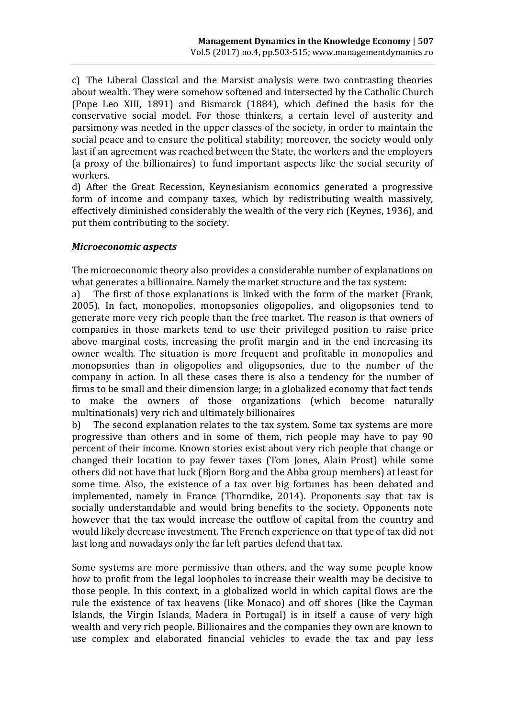c) The Liberal Classical and the Marxist analysis were two contrasting theories about wealth. They were somehow softened and intersected by the Catholic Church (Pope Leo XIII, 1891) and Bismarck (1884), which defined the basis for the conservative social model. For those thinkers, a certain level of austerity and parsimony was needed in the upper classes of the society, in order to maintain the social peace and to ensure the political stability; moreover, the society would only last if an agreement was reached between the State, the workers and the employers (a proxy of the billionaires) to fund important aspects like the social security of workers.

d) After the Great Recession, Keynesianism economics generated a progressive form of income and company taxes, which by redistributing wealth massively, effectively diminished considerably the wealth of the very rich (Keynes, 1936), and put them contributing to the society.

### *Microeconomic aspects*

The microeconomic theory also provides a considerable number of explanations on what generates a billionaire. Namely the market structure and the tax system:

a) The first of those explanations is linked with the form of the market (Frank, 2005). In fact, monopolies, monopsonies oligopolies, and oligopsonies tend to generate more very rich people than the free market. The reason is that owners of companies in those markets tend to use their privileged position to raise price above marginal costs, increasing the profit margin and in the end increasing its owner wealth. The situation is more frequent and profitable in monopolies and monopsonies than in oligopolies and oligopsonies, due to the number of the company in action. In all these cases there is also a tendency for the number of firms to be small and their dimension large; in a globalized economy that fact tends to make the owners of those organizations (which become naturally multinationals) very rich and ultimately billionaires

b) The second explanation relates to the tax system. Some tax systems are more progressive than others and in some of them, rich people may have to pay 90 percent of their income. Known stories exist about very rich people that change or changed their location to pay fewer taxes (Tom Jones, Alain Prost) while some others did not have that luck (Bjorn Borg and the Abba group members) at least for some time. Also, the existence of a tax over big fortunes has been debated and implemented, namely in France (Thorndike, 2014). Proponents say that tax is socially understandable and would bring benefits to the society. Opponents note however that the tax would increase the outflow of capital from the country and would likely decrease investment. The French experience on that type of tax did not last long and nowadays only the far left parties defend that tax.

Some systems are more permissive than others, and the way some people know how to profit from the legal loopholes to increase their wealth may be decisive to those people. In this context, in a globalized world in which capital flows are the rule the existence of tax heavens (like Monaco) and off shores (like the Cayman Islands, the Virgin Islands, Madera in Portugal) is in itself a cause of very high wealth and very rich people. Billionaires and the companies they own are known to use complex and elaborated financial vehicles to evade the tax and pay less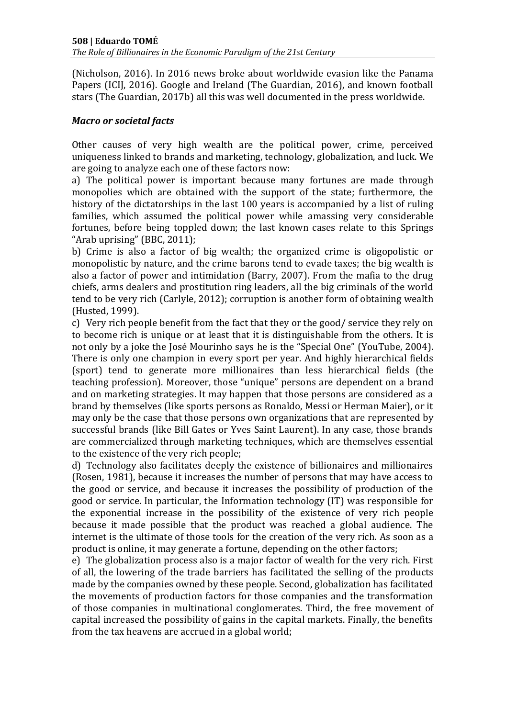(Nicholson, 2016). In 2016 news broke about worldwide evasion like the Panama Papers (ICIJ, 2016). Google and Ireland (The Guardian, 2016), and known football stars (The Guardian, 2017b) all this was well documented in the press worldwide.

### *Macro or societal facts*

Other causes of very high wealth are the political power, crime, perceived uniqueness linked to brands and marketing, technology, globalization, and luck. We are going to analyze each one of these factors now:

a) The political power is important because many fortunes are made through monopolies which are obtained with the support of the state; furthermore, the history of the dictatorships in the last 100 years is accompanied by a list of ruling families, which assumed the political power while amassing very considerable fortunes, before being toppled down; the last known cases relate to this Springs "Arab uprising" (BBC, 2011);

b) Crime is also a factor of big wealth; the organized crime is oligopolistic or monopolistic by nature, and the crime barons tend to evade taxes; the big wealth is also a factor of power and intimidation (Barry, 2007). From the mafia to the drug chiefs, arms dealers and prostitution ring leaders, all the big criminals of the world tend to be very rich (Carlyle, 2012); corruption is another form of obtaining wealth (Husted, 1999).

c) Very rich people benefit from the fact that they or the good/ service they rely on to become rich is unique or at least that it is distinguishable from the others. It is not only by a joke the José Mourinho says he is the "Special One" (YouTube, 2004). There is only one champion in every sport per year. And highly hierarchical fields (sport) tend to generate more millionaires than less hierarchical fields (the teaching profession). Moreover, those "unique" persons are dependent on a brand and on marketing strategies. It may happen that those persons are considered as a brand by themselves (like sports persons as Ronaldo, Messi or Herman Maier), or it may only be the case that those persons own organizations that are represented by successful brands (like Bill Gates or Yves Saint Laurent). In any case, those brands are commercialized through marketing techniques, which are themselves essential to the existence of the very rich people;

d) Technology also facilitates deeply the existence of billionaires and millionaires (Rosen, 1981), because it increases the number of persons that may have access to the good or service, and because it increases the possibility of production of the good or service. In particular, the Information technology (IT) was responsible for the exponential increase in the possibility of the existence of very rich people because it made possible that the product was reached a global audience. The internet is the ultimate of those tools for the creation of the very rich. As soon as a product is online, it may generate a fortune, depending on the other factors;

e) The globalization process also is a major factor of wealth for the very rich. First of all, the lowering of the trade barriers has facilitated the selling of the products made by the companies owned by these people. Second, globalization has facilitated the movements of production factors for those companies and the transformation of those companies in multinational conglomerates. Third, the free movement of capital increased the possibility of gains in the capital markets. Finally, the benefits from the tax heavens are accrued in a global world;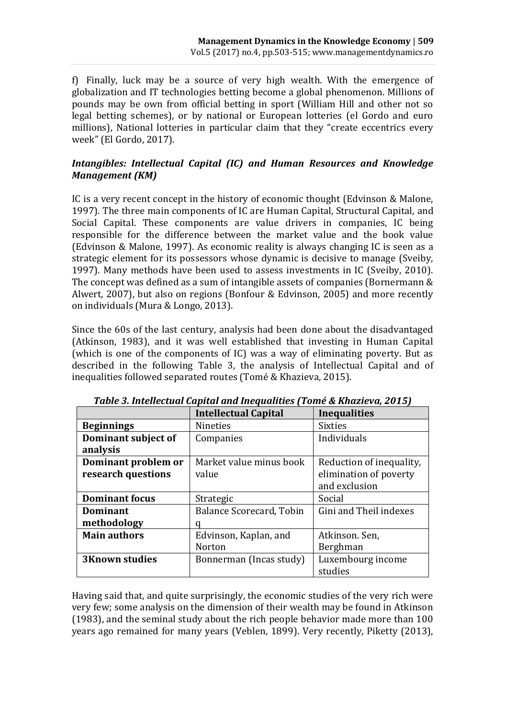f) Finally, luck may be a source of very high wealth. With the emergence of globalization and IT technologies betting become a global phenomenon. Millions of pounds may be own from official betting in sport (William Hill and other not so legal betting schemes), or by national or European lotteries (el Gordo and euro millions), National lotteries in particular claim that they "create eccentrics every week" (El Gordo, 2017).

## *Intangibles: Intellectual Capital (IC) and Human Resources and Knowledge Management (KM)*

IC is a very recent concept in the history of economic thought (Edvinson & Malone, 1997). The three main components of IC are Human Capital, Structural Capital, and Social Capital. These components are value drivers in companies, IC being responsible for the difference between the market value and the book value (Edvinson & Malone, 1997). As economic reality is always changing IC is seen as a strategic element for its possessors whose dynamic is decisive to manage (Sveiby, 1997). Many methods have been used to assess investments in IC (Sveiby, 2010). The concept was defined as a sum of intangible assets of companies (Bornermann & Alwert, 2007), but also on regions (Bonfour & Edvinson, 2005) and more recently on individuals (Mura & Longo, 2013).

Since the 60s of the last century, analysis had been done about the disadvantaged (Atkinson, 1983), and it was well established that investing in Human Capital (which is one of the components of IC) was a way of eliminating poverty. But as described in the following Table 3, the analysis of Intellectual Capital and of inequalities followed separated routes (Tomé & Khazieva, 2015).

|                       | <b>Intellectual Capital</b> | <b>Inequalities</b>      |
|-----------------------|-----------------------------|--------------------------|
| <b>Beginnings</b>     | <b>Nineties</b>             | <b>Sixties</b>           |
| Dominant subject of   | Companies                   | Individuals              |
| analysis              |                             |                          |
| Dominant problem or   | Market value minus book     | Reduction of inequality, |
| research questions    | value                       | elimination of poverty   |
|                       |                             | and exclusion            |
| <b>Dominant focus</b> | Strategic                   | Social                   |
| Dominant              | Balance Scorecard, Tobin    | Gini and Theil indexes   |
| methodology           |                             |                          |
| <b>Main authors</b>   | Edvinson, Kaplan, and       | Atkinson. Sen,           |
|                       | Norton                      | Berghman                 |
| <b>3Known studies</b> | Bonnerman (Incas study)     | Luxembourg income        |
|                       |                             | studies                  |

*Table 3. Intellectual Capital and Inequalities (Tomé & Khazieva, 2015)*

Having said that, and quite surprisingly, the economic studies of the very rich were very few; some analysis on the dimension of their wealth may be found in Atkinson (1983), and the seminal study about the rich people behavior made more than 100 years ago remained for many years (Veblen, 1899). Very recently, Piketty (2013),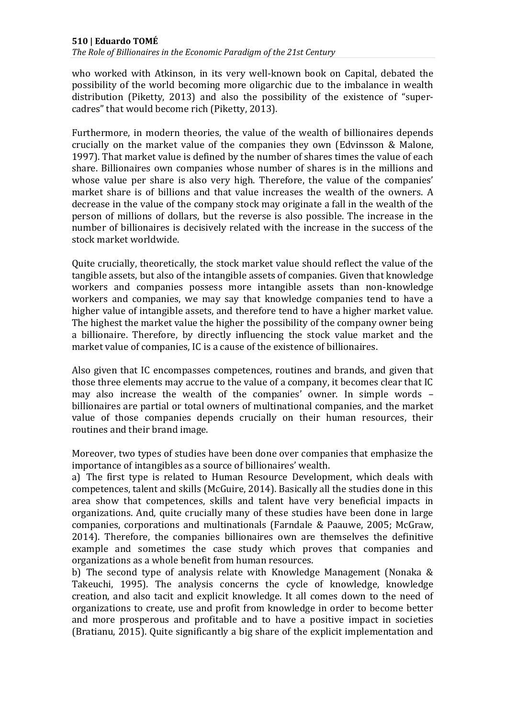*The Role of Billionaires in the Economic Paradigm of the 21st Century*

who worked with Atkinson, in its very well-known book on Capital, debated the possibility of the world becoming more oligarchic due to the imbalance in wealth distribution (Piketty, 2013) and also the possibility of the existence of "supercadres" that would become rich (Piketty, 2013).

Furthermore, in modern theories, the value of the wealth of billionaires depends crucially on the market value of the companies they own (Edvinsson & Malone, 1997). That market value is defined by the number of shares times the value of each share. Billionaires own companies whose number of shares is in the millions and whose value per share is also very high. Therefore, the value of the companies' market share is of billions and that value increases the wealth of the owners. A decrease in the value of the company stock may originate a fall in the wealth of the person of millions of dollars, but the reverse is also possible. The increase in the number of billionaires is decisively related with the increase in the success of the stock market worldwide.

Quite crucially, theoretically, the stock market value should reflect the value of the tangible assets, but also of the intangible assets of companies. Given that knowledge workers and companies possess more intangible assets than non-knowledge workers and companies, we may say that knowledge companies tend to have a higher value of intangible assets, and therefore tend to have a higher market value. The highest the market value the higher the possibility of the company owner being a billionaire. Therefore, by directly influencing the stock value market and the market value of companies, IC is a cause of the existence of billionaires.

Also given that IC encompasses competences, routines and brands, and given that those three elements may accrue to the value of a company, it becomes clear that IC may also increase the wealth of the companies' owner. In simple words – billionaires are partial or total owners of multinational companies, and the market value of those companies depends crucially on their human resources, their routines and their brand image.

Moreover, two types of studies have been done over companies that emphasize the importance of intangibles as a source of billionaires' wealth.

a) The first type is related to Human Resource Development, which deals with competences, talent and skills (McGuire, 2014). Basically all the studies done in this area show that competences, skills and talent have very beneficial impacts in organizations. And, quite crucially many of these studies have been done in large companies, corporations and multinationals (Farndale & Paauwe, 2005; McGraw, 2014). Therefore, the companies billionaires own are themselves the definitive example and sometimes the case study which proves that companies and organizations as a whole benefit from human resources.

b) The second type of analysis relate with Knowledge Management (Nonaka & Takeuchi, 1995). The analysis concerns the cycle of knowledge, knowledge creation, and also tacit and explicit knowledge. It all comes down to the need of organizations to create, use and profit from knowledge in order to become better and more prosperous and profitable and to have a positive impact in societies (Bratianu, 2015). Quite significantly a big share of the explicit implementation and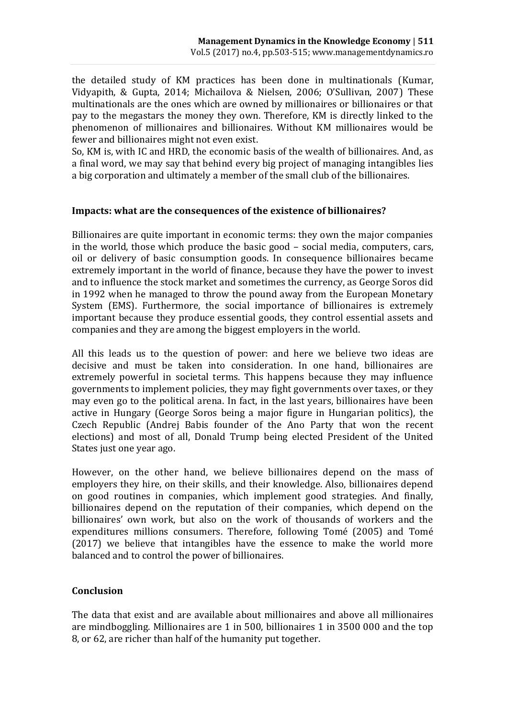the detailed study of KM practices has been done in multinationals (Kumar, Vidyapith, & Gupta, 2014; Michailova & Nielsen, 2006; O'Sullivan, 2007) These multinationals are the ones which are owned by millionaires or billionaires or that pay to the megastars the money they own. Therefore, KM is directly linked to the phenomenon of millionaires and billionaires. Without KM millionaires would be fewer and billionaires might not even exist.

So, KM is, with IC and HRD, the economic basis of the wealth of billionaires. And, as a final word, we may say that behind every big project of managing intangibles lies a big corporation and ultimately a member of the small club of the billionaires.

### **Impacts: what are the consequences of the existence of billionaires?**

Billionaires are quite important in economic terms: they own the major companies in the world, those which produce the basic good – social media, computers, cars, oil or delivery of basic consumption goods. In consequence billionaires became extremely important in the world of finance, because they have the power to invest and to influence the stock market and sometimes the currency, as George Soros did in 1992 when he managed to throw the pound away from the European Monetary System (EMS). Furthermore, the social importance of billionaires is extremely important because they produce essential goods, they control essential assets and companies and they are among the biggest employers in the world.

All this leads us to the question of power: and here we believe two ideas are decisive and must be taken into consideration. In one hand, billionaires are extremely powerful in societal terms. This happens because they may influence governments to implement policies, they may fight governments over taxes, or they may even go to the political arena. In fact, in the last years, billionaires have been active in Hungary (George Soros being a major figure in Hungarian politics), the Czech Republic (Andrej Babis founder of the Ano Party that won the recent elections) and most of all, Donald Trump being elected President of the United States just one year ago.

However, on the other hand, we believe billionaires depend on the mass of employers they hire, on their skills, and their knowledge. Also, billionaires depend on good routines in companies, which implement good strategies. And finally, billionaires depend on the reputation of their companies, which depend on the billionaires' own work, but also on the work of thousands of workers and the expenditures millions consumers. Therefore, following Tomé (2005) and Tomé (2017) we believe that intangibles have the essence to make the world more balanced and to control the power of billionaires.

### **Conclusion**

The data that exist and are available about millionaires and above all millionaires are mindboggling. Millionaires are 1 in 500, billionaires 1 in 3500 000 and the top 8, or 62, are richer than half of the humanity put together.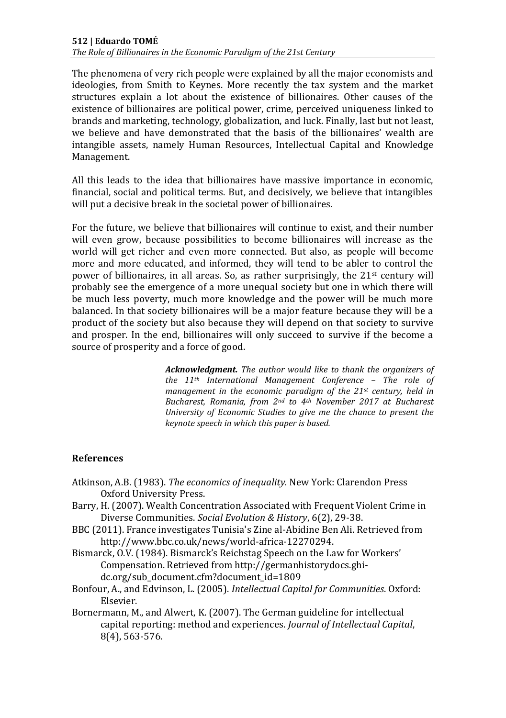### **512 | Eduardo TOMÉ**

*The Role of Billionaires in the Economic Paradigm of the 21st Century*

The phenomena of very rich people were explained by all the major economists and ideologies, from Smith to Keynes. More recently the tax system and the market structures explain a lot about the existence of billionaires. Other causes of the existence of billionaires are political power, crime, perceived uniqueness linked to brands and marketing, technology, globalization, and luck. Finally, last but not least, we believe and have demonstrated that the basis of the billionaires' wealth are intangible assets, namely Human Resources, Intellectual Capital and Knowledge Management.

All this leads to the idea that billionaires have massive importance in economic, financial, social and political terms. But, and decisively, we believe that intangibles will put a decisive break in the societal power of billionaires.

For the future, we believe that billionaires will continue to exist, and their number will even grow, because possibilities to become billionaires will increase as the world will get richer and even more connected. But also, as people will become more and more educated, and informed, they will tend to be abler to control the power of billionaires, in all areas. So, as rather surprisingly, the  $21<sup>st</sup>$  century will probably see the emergence of a more unequal society but one in which there will be much less poverty, much more knowledge and the power will be much more balanced. In that society billionaires will be a major feature because they will be a product of the society but also because they will depend on that society to survive and prosper. In the end, billionaires will only succeed to survive if the become a source of prosperity and a force of good.

> *Acknowledgment. The author would like to thank the organizers of the 11th International Management Conference – The role of management in the economic paradigm of the 21st century, held in Bucharest, Romania, from 2nd to 4th November 2017 at Bucharest University of Economic Studies to give me the chance to present the keynote speech in which this paper is based.*

### **References**

- Atkinson, A.B. (1983). *The economics of inequality.* New York: Clarendon Press Oxford University Press.
- Barry, H. (2007). Wealth Concentration Associated with Frequent Violent Crime in Diverse Communities. *Social Evolution & History*, 6(2), 29-38.
- BBC (2011). France investigates Tunisia's Zine al-Abidine Ben Ali. Retrieved from http://www.bbc.co.uk/news/world-africa-12270294.
- Bismarck, O.V. (1984). Bismarck's Reichstag Speech on the Law for Workers' Compensation. Retrieved from http://germanhistorydocs.ghidc.org/sub\_document.cfm?document\_id=1809
- Bonfour, A., and Edvinson, L. (2005). *Intellectual Capital for Communities*. Oxford: Elsevier.
- Bornermann, M., and Alwert, K. (2007). The German guideline for intellectual capital reporting: method and experiences. *Journal of Intellectual Capital*, 8(4), 563-576.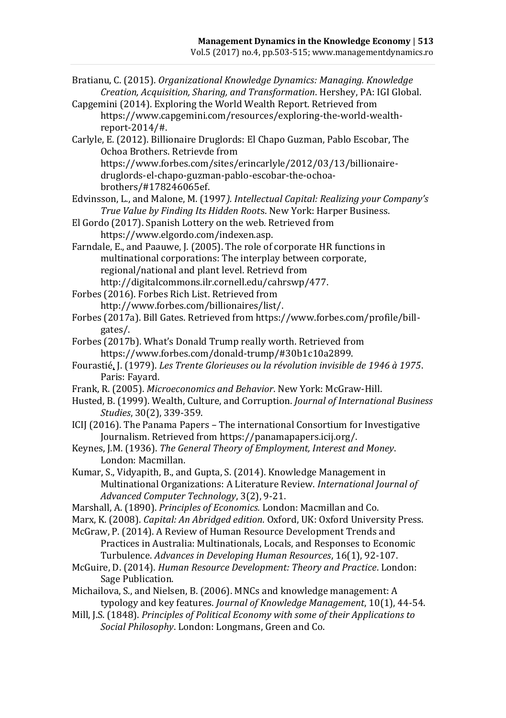- Bratianu, C. (2015). *Organizational Knowledge Dynamics: Managing. Knowledge Creation, Acquisition, Sharing, and Transformation*. Hershey, PA: IGI Global. Capgemini (2014). Exploring the World Wealth Report. Retrieved from https://www.capgemini.com/resources/exploring-the-world-wealthreport-2014/#. Carlyle, E. (2012). Billionaire Druglords: El Chapo Guzman, Pablo Escobar, The Ochoa Brothers. Retrievde from https://www.forbes.com/sites/erincarlyle/2012/03/13/billionairedruglords-el-chapo-guzman-pablo-escobar-the-ochoabrothers/#178246065ef. Edvinsson, L., and Malone, M. (1997*). Intellectual Capital: Realizing your Company's True Value by Finding Its Hidden Root*s. New York: Harper Business. El Gordo (2017). Spanish Lottery on the web. Retrieved from https://www.elgordo.com/indexen.asp. Farndale, E., and Paauwe, J. (2005). The role of corporate HR functions in multinational corporations: The interplay between corporate, regional/national and plant level. Retrievd from http://digitalcommons.ilr.cornell.edu/cahrswp/477. Forbes (2016). Forbes Rich List. Retrieved from http://www.forbes.com/billionaires/list/. Forbes (2017a). Bill Gates. Retrieved from https://www.forbes.com/profile/billgates/. Forbes (2017b). What's Donald Trump really worth. Retrieved from https://www.forbes.com/donald-trump/#30b1c10a2899. [Fourastié,](https://fr.wikipedia.org/wiki/Jean_Fourasti%C3%A9) J. (1979). *Les Trente Glorieuses ou la révolution invisible de 1946 à 1975*. Paris: Fayard. Frank, R. (2005). *Microeconomics and Behavior*. New York: McGraw-Hill. Husted, B. (1999). Wealth, Culture, and Corruption. *Journal of International Business Studies*, 30(2), 339-359. ICIJ (2016). The Panama Papers – The international Consortium for Investigative Journalism. Retrieved from https://panamapapers.icij.org/. Keynes, J.M. (1936). *The General Theory of Employment, Interest and Money*. London: Macmillan. Kumar, S., Vidyapith, B., and Gupta, S. (2014). Knowledge Management in Multinational Organizations: A Literature Review. *International Journal of Advanced Computer Technology*, 3(2), 9-21. Marshall, A. (1890). *Principles of Economics.* London: Macmillan and Co. Marx, K. (2008). *Capital: An Abridged edition*. Oxford, UK: Oxford University Press. McGraw, P. (2014). A Review of Human Resource Development Trends and Practices in Australia: Multinationals, Locals, and Responses to Economic Turbulence. *Advances in Developing Human Resources*, 16(1), 92-107. McGuire, D. (2014). *Human Resource Development: Theory and Practice*. London: Sage Publication. Michailova, S., and Nielsen, B. (2006). MNCs and knowledge management: A typology and key features. *Journal of Knowledge Management*, 10(1), 44-54. Mill, J.S. (1848). *Principles of Political Economy with some of their Applications to* 
	- *Social Philosophy*. London: Longmans, Green and Co.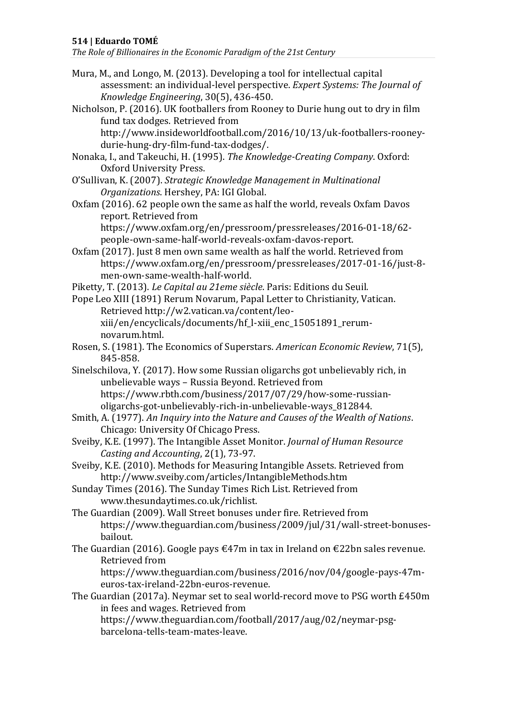### **514 | Eduardo TOMÉ**

*The Role of Billionaires in the Economic Paradigm of the 21st Century*

- Mura, M., and Longo, M. (2013). Developing a tool for intellectual capital assessment: an individual-level perspective. *Expert Systems: The Journal of Knowledge Engineering*, 30(5), 436-450.
- Nicholson, P. (2016). UK footballers from Rooney to Durie hung out to dry in film fund tax dodges. Retrieved from http://www.insideworldfootball.com/2016/10/13/uk-footballers-rooney-
- durie-hung-dry-film-fund-tax-dodges/. Nonaka, I., and Takeuchi, H. (1995). *The Knowledge-Creating Company*. Oxford: Oxford University Press.
- O'Sullivan, K. (2007). *Strategic Knowledge Management in Multinational Organizations*. Hershey, PA: IGI Global.
- Oxfam (2016). 62 people own the same as half the world, reveals Oxfam Davos report. Retrieved from

https://www.oxfam.org/en/pressroom/pressreleases/2016-01-18/62 people-own-same-half-world-reveals-oxfam-davos-report.

Oxfam (2017). Just 8 men own same wealth as half the world. Retrieved from https://www.oxfam.org/en/pressroom/pressreleases/2017-01-16/just-8 men-own-same-wealth-half-world.

Piketty, T. (2013). *Le Capital au 21eme siècle*. Paris: Editions du Seuil.

- Pope Leo XIII (1891) Rerum Novarum, Papal Letter to Christianity, Vatican. Retrieved http://w2.vatican.va/content/leoxiii/en/encyclicals/documents/hf\_l-xiii\_enc\_15051891\_rerumnovarum.html.
- Rosen, S. (1981). The Economics of Superstars. *American Economic Review*, 71(5), 845-858.
- Sinelschilova, Y. (2017). How some Russian oligarchs got unbelievably rich, in unbelievable ways – Russia Beyond. Retrieved from https://www.rbth.com/business/2017/07/29/how-some-russianoligarchs-got-unbelievably-rich-in-unbelievable-ways\_812844.
- Smith, A. (1977). *An Inquiry into the Nature and Causes of the Wealth of Nations*. Chicago: University Of Chicago Press.
- Sveiby, K.E. (1997). The Intangible Asset Monitor. *Journal of Human Resource Casting and Accounting*, 2(1), 73-97.
- Sveiby, K.E. (2010). Methods for Measuring Intangible Assets. Retrieved from http://www.sveiby.com/articles/IntangibleMethods.htm
- Sunday Times (2016). The Sunday Times Rich List. Retrieved from www.thesundaytimes.co.uk/richlist.
- The Guardian (2009). Wall Street bonuses under fire. Retrieved from https://www.theguardian.com/business/2009/jul/31/wall-street-bonusesbailout.
- The Guardian (2016). Google pays €47m in tax in Ireland on €22bn sales revenue. Retrieved from

https://www.theguardian.com/business/2016/nov/04/google-pays-47meuros-tax-ireland-22bn-euros-revenue.

The Guardian (2017a). Neymar set to seal world-record move to PSG worth £450m in fees and wages. Retrieved from https://www.theguardian.com/football/2017/aug/02/neymar-psgbarcelona-tells-team-mates-leave.